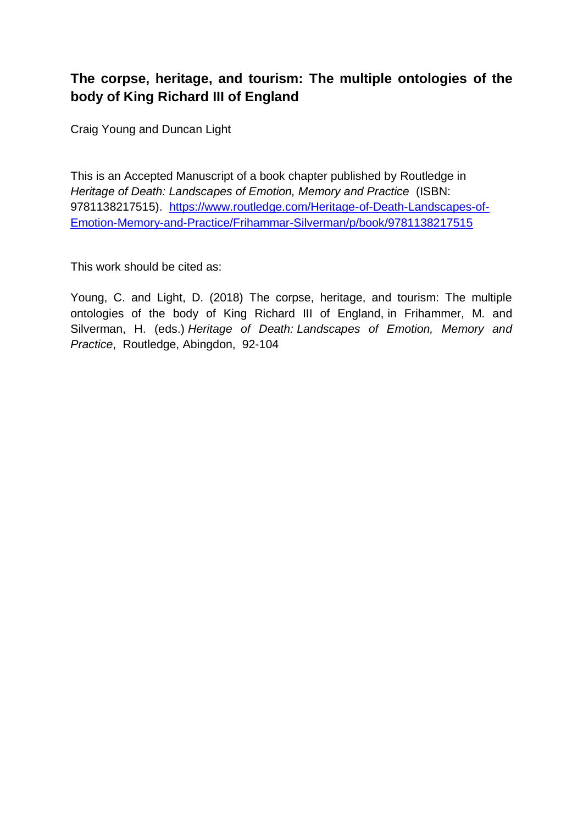# **The corpse, heritage, and tourism: The multiple ontologies of the body of King Richard III of England**

Craig Young and Duncan Light

This is an Accepted Manuscript of a book chapter published by Routledge in *Heritage of Death: Landscapes of Emotion, Memory and Practice* [\(ISBN:](file:///C:/Users/Duncan/Documents/2%20Research/2000%20Completed%20papers/1022%20Marius%20Crisan%20Dracula%20chapter/(ISBN) 9781138217515). [https://www.routledge.com/Heritage-of-Death-Landscapes-of-](https://www.routledge.com/Heritage-of-Death-Landscapes-of-Emotion-Memory-and-Practice/Frihammar-Silverman/p/book/9781138217515)[Emotion-Memory-and-Practice/Frihammar-Silverman/p/book/9781138217515](https://www.routledge.com/Heritage-of-Death-Landscapes-of-Emotion-Memory-and-Practice/Frihammar-Silverman/p/book/9781138217515)

This work should be cited as:

Young, C. and Light, D. (2018) The corpse, heritage, and tourism: The multiple ontologies of the body of King Richard III of England, in Frihammer, M. and Silverman, H. (eds.) *Heritage of Death: Landscapes of Emotion, Memory and Practice*, Routledge, Abingdon, 92-104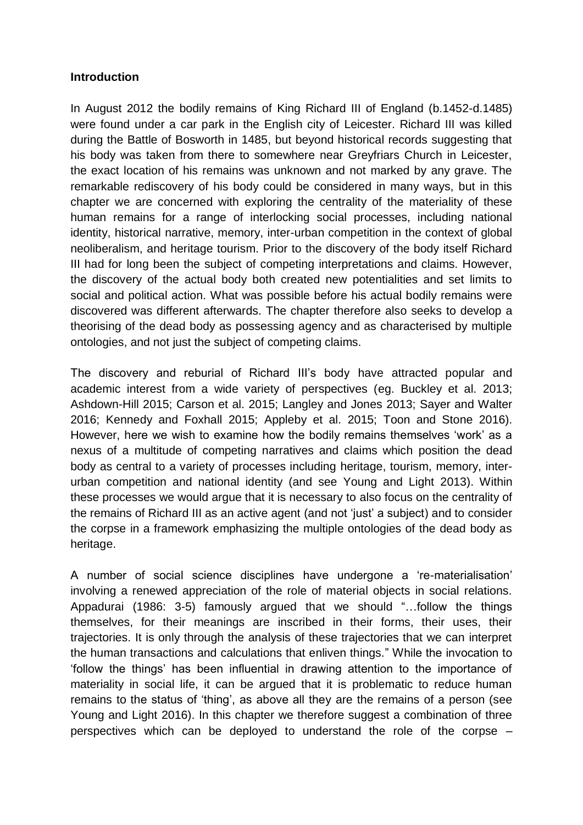#### **Introduction**

In August 2012 the bodily remains of King Richard III of England (b.1452-d.1485) were found under a car park in the English city of Leicester. Richard III was killed during the Battle of Bosworth in 1485, but beyond historical records suggesting that his body was taken from there to somewhere near Greyfriars Church in Leicester, the exact location of his remains was unknown and not marked by any grave. The remarkable rediscovery of his body could be considered in many ways, but in this chapter we are concerned with exploring the centrality of the materiality of these human remains for a range of interlocking social processes, including national identity, historical narrative, memory, inter-urban competition in the context of global neoliberalism, and heritage tourism. Prior to the discovery of the body itself Richard III had for long been the subject of competing interpretations and claims. However, the discovery of the actual body both created new potentialities and set limits to social and political action. What was possible before his actual bodily remains were discovered was different afterwards. The chapter therefore also seeks to develop a theorising of the dead body as possessing agency and as characterised by multiple ontologies, and not just the subject of competing claims.

The discovery and reburial of Richard III's body have attracted popular and academic interest from a wide variety of perspectives (eg. Buckley et al. 2013; Ashdown-Hill 2015; Carson et al. 2015; Langley and Jones 2013; Sayer and Walter 2016; Kennedy and Foxhall 2015; Appleby et al. 2015; Toon and Stone 2016). However, here we wish to examine how the bodily remains themselves 'work' as a nexus of a multitude of competing narratives and claims which position the dead body as central to a variety of processes including heritage, tourism, memory, interurban competition and national identity (and see Young and Light 2013). Within these processes we would argue that it is necessary to also focus on the centrality of the remains of Richard III as an active agent (and not 'just' a subject) and to consider the corpse in a framework emphasizing the multiple ontologies of the dead body as heritage.

A number of social science disciplines have undergone a 're-materialisation' involving a renewed appreciation of the role of material objects in social relations. Appadurai (1986: 3-5) famously argued that we should "…follow the things themselves, for their meanings are inscribed in their forms, their uses, their trajectories. It is only through the analysis of these trajectories that we can interpret the human transactions and calculations that enliven things." While the invocation to 'follow the things' has been influential in drawing attention to the importance of materiality in social life, it can be argued that it is problematic to reduce human remains to the status of 'thing', as above all they are the remains of a person (see Young and Light 2016). In this chapter we therefore suggest a combination of three perspectives which can be deployed to understand the role of the corpse –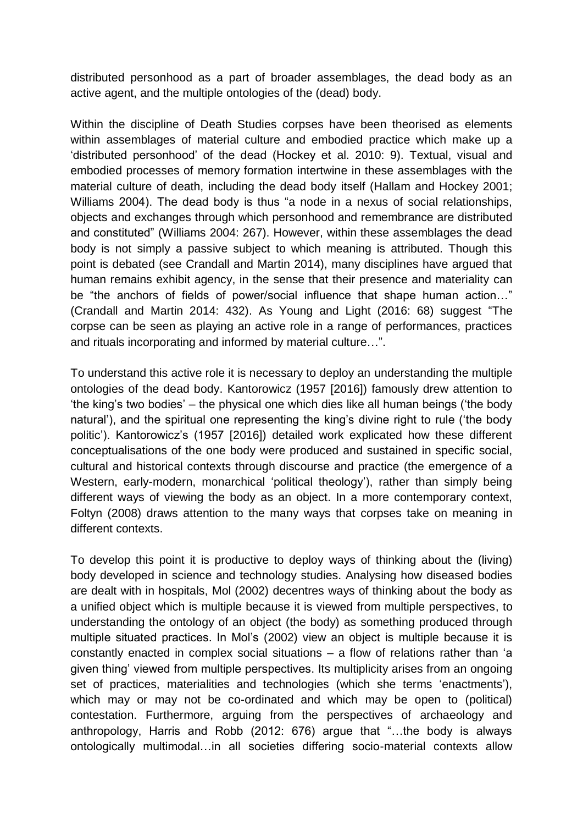distributed personhood as a part of broader assemblages, the dead body as an active agent, and the multiple ontologies of the (dead) body.

Within the discipline of Death Studies corpses have been theorised as elements within assemblages of material culture and embodied practice which make up a 'distributed personhood' of the dead (Hockey et al. 2010: 9). Textual, visual and embodied processes of memory formation intertwine in these assemblages with the material culture of death, including the dead body itself (Hallam and Hockey 2001; Williams 2004). The dead body is thus "a node in a nexus of social relationships, objects and exchanges through which personhood and remembrance are distributed and constituted" (Williams 2004: 267). However, within these assemblages the dead body is not simply a passive subject to which meaning is attributed. Though this point is debated (see Crandall and Martin 2014), many disciplines have argued that human remains exhibit agency, in the sense that their presence and materiality can be "the anchors of fields of power/social influence that shape human action…" (Crandall and Martin 2014: 432). As Young and Light (2016: 68) suggest "The corpse can be seen as playing an active role in a range of performances, practices and rituals incorporating and informed by material culture…".

To understand this active role it is necessary to deploy an understanding the multiple ontologies of the dead body. Kantorowicz (1957 [2016]) famously drew attention to 'the king's two bodies' – the physical one which dies like all human beings ('the body natural'), and the spiritual one representing the king's divine right to rule ('the body politic'). Kantorowicz's (1957 [2016]) detailed work explicated how these different conceptualisations of the one body were produced and sustained in specific social, cultural and historical contexts through discourse and practice (the emergence of a Western, early-modern, monarchical 'political theology'), rather than simply being different ways of viewing the body as an object. In a more contemporary context, Foltyn (2008) draws attention to the many ways that corpses take on meaning in different contexts.

To develop this point it is productive to deploy ways of thinking about the (living) body developed in science and technology studies. Analysing how diseased bodies are dealt with in hospitals, Mol (2002) decentres ways of thinking about the body as a unified object which is multiple because it is viewed from multiple perspectives, to understanding the ontology of an object (the body) as something produced through multiple situated practices. In Mol's (2002) view an object is multiple because it is constantly enacted in complex social situations – a flow of relations rather than 'a given thing' viewed from multiple perspectives. Its multiplicity arises from an ongoing set of practices, materialities and technologies (which she terms 'enactments'), which may or may not be co-ordinated and which may be open to (political) contestation. Furthermore, arguing from the perspectives of archaeology and anthropology, Harris and Robb (2012: 676) argue that "…the body is always ontologically multimodal…in all societies differing socio-material contexts allow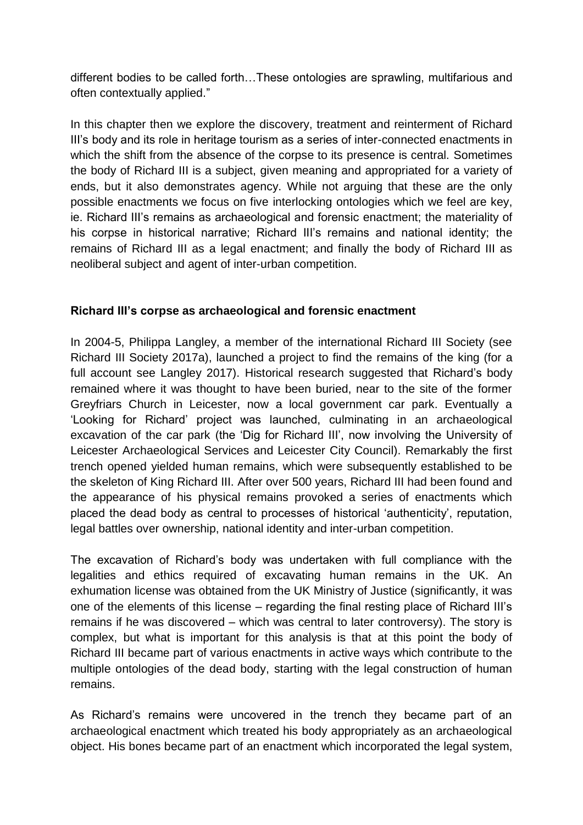different bodies to be called forth…These ontologies are sprawling, multifarious and often contextually applied."

In this chapter then we explore the discovery, treatment and reinterment of Richard III's body and its role in heritage tourism as a series of inter-connected enactments in which the shift from the absence of the corpse to its presence is central. Sometimes the body of Richard III is a subject, given meaning and appropriated for a variety of ends, but it also demonstrates agency. While not arguing that these are the only possible enactments we focus on five interlocking ontologies which we feel are key, ie. Richard III's remains as archaeological and forensic enactment; the materiality of his corpse in historical narrative; Richard III's remains and national identity; the remains of Richard III as a legal enactment; and finally the body of Richard III as neoliberal subject and agent of inter-urban competition.

## **Richard III's corpse as archaeological and forensic enactment**

In 2004-5, Philippa Langley, a member of the international Richard III Society (see Richard III Society 2017a), launched a project to find the remains of the king (for a full account see Langley 2017). Historical research suggested that Richard's body remained where it was thought to have been buried, near to the site of the former Greyfriars Church in Leicester, now a local government car park. Eventually a 'Looking for Richard' project was launched, culminating in an archaeological excavation of the car park (the 'Dig for Richard III', now involving the University of Leicester Archaeological Services and Leicester City Council). Remarkably the first trench opened yielded human remains, which were subsequently established to be the skeleton of King Richard III. After over 500 years, Richard III had been found and the appearance of his physical remains provoked a series of enactments which placed the dead body as central to processes of historical 'authenticity', reputation, legal battles over ownership, national identity and inter-urban competition.

The excavation of Richard's body was undertaken with full compliance with the legalities and ethics required of excavating human remains in the UK. An exhumation license was obtained from the UK Ministry of Justice (significantly, it was one of the elements of this license – regarding the final resting place of Richard III's remains if he was discovered – which was central to later controversy). The story is complex, but what is important for this analysis is that at this point the body of Richard III became part of various enactments in active ways which contribute to the multiple ontologies of the dead body, starting with the legal construction of human remains.

As Richard's remains were uncovered in the trench they became part of an archaeological enactment which treated his body appropriately as an archaeological object. His bones became part of an enactment which incorporated the legal system,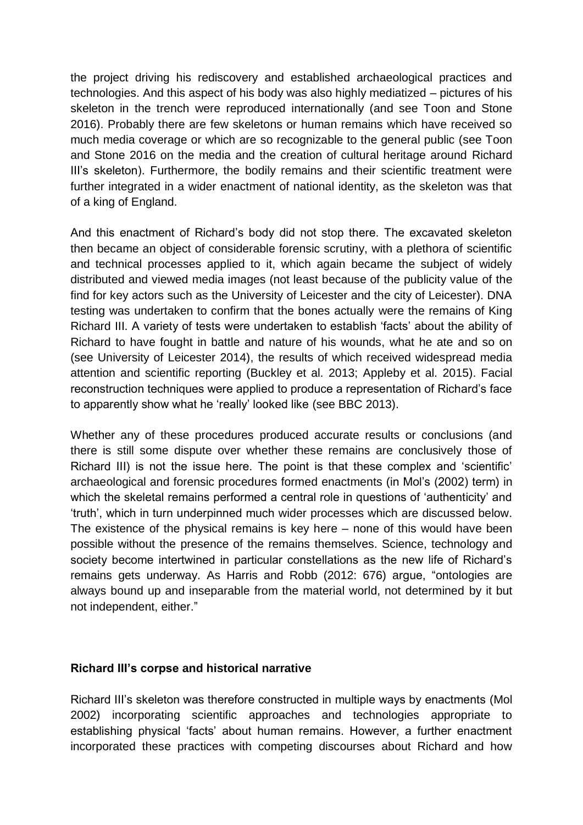the project driving his rediscovery and established archaeological practices and technologies. And this aspect of his body was also highly mediatized – pictures of his skeleton in the trench were reproduced internationally (and see Toon and Stone 2016). Probably there are few skeletons or human remains which have received so much media coverage or which are so recognizable to the general public (see Toon and Stone 2016 on the media and the creation of cultural heritage around Richard III's skeleton). Furthermore, the bodily remains and their scientific treatment were further integrated in a wider enactment of national identity, as the skeleton was that of a king of England.

And this enactment of Richard's body did not stop there. The excavated skeleton then became an object of considerable forensic scrutiny, with a plethora of scientific and technical processes applied to it, which again became the subject of widely distributed and viewed media images (not least because of the publicity value of the find for key actors such as the University of Leicester and the city of Leicester). DNA testing was undertaken to confirm that the bones actually were the remains of King Richard III. A variety of tests were undertaken to establish 'facts' about the ability of Richard to have fought in battle and nature of his wounds, what he ate and so on (see University of Leicester 2014), the results of which received widespread media attention and scientific reporting (Buckley et al. 2013; Appleby et al. 2015). Facial reconstruction techniques were applied to produce a representation of Richard's face to apparently show what he 'really' looked like (see BBC 2013).

Whether any of these procedures produced accurate results or conclusions (and there is still some dispute over whether these remains are conclusively those of Richard III) is not the issue here. The point is that these complex and 'scientific' archaeological and forensic procedures formed enactments (in Mol's (2002) term) in which the skeletal remains performed a central role in questions of 'authenticity' and 'truth', which in turn underpinned much wider processes which are discussed below. The existence of the physical remains is key here – none of this would have been possible without the presence of the remains themselves. Science, technology and society become intertwined in particular constellations as the new life of Richard's remains gets underway. As Harris and Robb (2012: 676) argue, "ontologies are always bound up and inseparable from the material world, not determined by it but not independent, either."

## **Richard III's corpse and historical narrative**

Richard III's skeleton was therefore constructed in multiple ways by enactments (Mol 2002) incorporating scientific approaches and technologies appropriate to establishing physical 'facts' about human remains. However, a further enactment incorporated these practices with competing discourses about Richard and how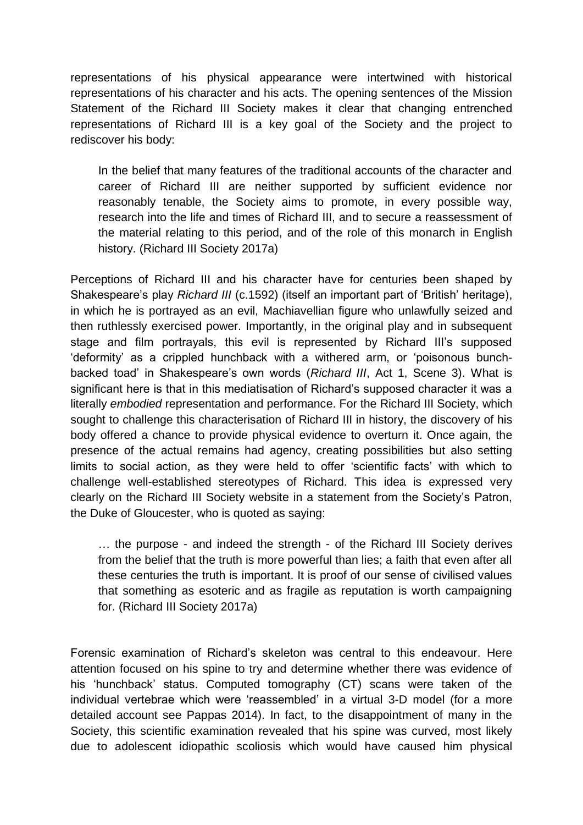representations of his physical appearance were intertwined with historical representations of his character and his acts. The opening sentences of the Mission Statement of the Richard III Society makes it clear that changing entrenched representations of Richard III is a key goal of the Society and the project to rediscover his body:

In the belief that many features of the traditional accounts of the character and career of Richard III are neither supported by sufficient evidence nor reasonably tenable, the Society aims to promote, in every possible way, research into the life and times of Richard III, and to secure a reassessment of the material relating to this period, and of the role of this monarch in English history. (Richard III Society 2017a)

Perceptions of Richard III and his character have for centuries been shaped by Shakespeare's play *Richard III* (c.1592) (itself an important part of 'British' heritage), in which he is portrayed as an evil, Machiavellian figure who unlawfully seized and then ruthlessly exercised power. Importantly, in the original play and in subsequent stage and film portrayals, this evil is represented by Richard III's supposed 'deformity' as a crippled hunchback with a withered arm, or 'poisonous bunchbacked toad' in Shakespeare's own words (*Richard III*, Act 1, Scene 3). What is significant here is that in this mediatisation of Richard's supposed character it was a literally *embodied* representation and performance. For the Richard III Society, which sought to challenge this characterisation of Richard III in history, the discovery of his body offered a chance to provide physical evidence to overturn it. Once again, the presence of the actual remains had agency, creating possibilities but also setting limits to social action, as they were held to offer 'scientific facts' with which to challenge well-established stereotypes of Richard. This idea is expressed very clearly on the Richard III Society website in a statement from the Society's Patron, the Duke of Gloucester, who is quoted as saying:

… the purpose - and indeed the strength - of the Richard III Society derives from the belief that the truth is more powerful than lies; a faith that even after all these centuries the truth is important. It is proof of our sense of civilised values that something as esoteric and as fragile as reputation is worth campaigning for. (Richard III Society 2017a)

Forensic examination of Richard's skeleton was central to this endeavour. Here attention focused on his spine to try and determine whether there was evidence of his 'hunchback' status. Computed tomography (CT) scans were taken of the individual vertebrae which were 'reassembled' in a virtual 3-D model (for a more detailed account see Pappas 2014). In fact, to the disappointment of many in the Society, this scientific examination revealed that his spine was curved, most likely due to adolescent idiopathic scoliosis which would have caused him physical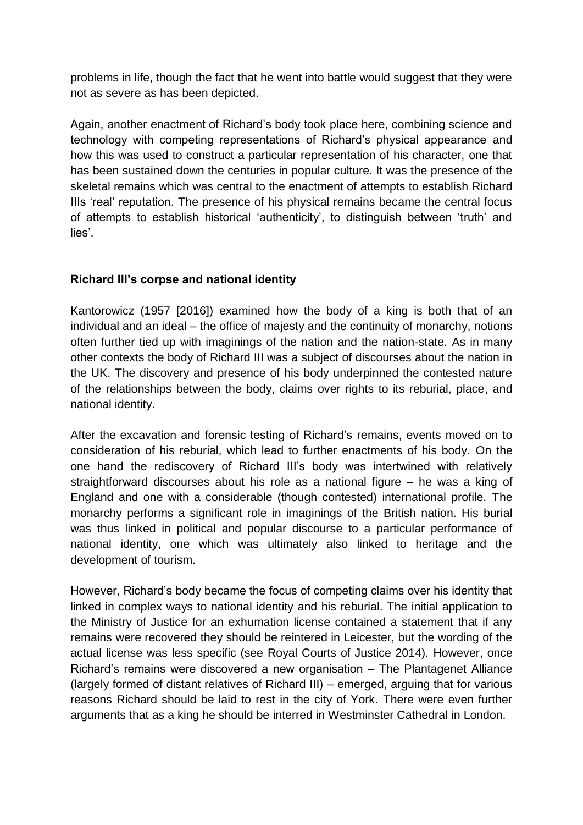problems in life, though the fact that he went into battle would suggest that they were not as severe as has been depicted.

Again, another enactment of Richard's body took place here, combining science and technology with competing representations of Richard's physical appearance and how this was used to construct a particular representation of his character, one that has been sustained down the centuries in popular culture. It was the presence of the skeletal remains which was central to the enactment of attempts to establish Richard IIIs 'real' reputation. The presence of his physical remains became the central focus of attempts to establish historical 'authenticity', to distinguish between 'truth' and lies'.

# **Richard III's corpse and national identity**

Kantorowicz (1957 [2016]) examined how the body of a king is both that of an individual and an ideal – the office of majesty and the continuity of monarchy, notions often further tied up with imaginings of the nation and the nation-state. As in many other contexts the body of Richard III was a subject of discourses about the nation in the UK. The discovery and presence of his body underpinned the contested nature of the relationships between the body, claims over rights to its reburial, place, and national identity.

After the excavation and forensic testing of Richard's remains, events moved on to consideration of his reburial, which lead to further enactments of his body. On the one hand the rediscovery of Richard III's body was intertwined with relatively straightforward discourses about his role as a national figure – he was a king of England and one with a considerable (though contested) international profile. The monarchy performs a significant role in imaginings of the British nation. His burial was thus linked in political and popular discourse to a particular performance of national identity, one which was ultimately also linked to heritage and the development of tourism.

However, Richard's body became the focus of competing claims over his identity that linked in complex ways to national identity and his reburial. The initial application to the Ministry of Justice for an exhumation license contained a statement that if any remains were recovered they should be reintered in Leicester, but the wording of the actual license was less specific (see Royal Courts of Justice 2014). However, once Richard's remains were discovered a new organisation – The Plantagenet Alliance (largely formed of distant relatives of Richard III) – emerged, arguing that for various reasons Richard should be laid to rest in the city of York. There were even further arguments that as a king he should be interred in Westminster Cathedral in London.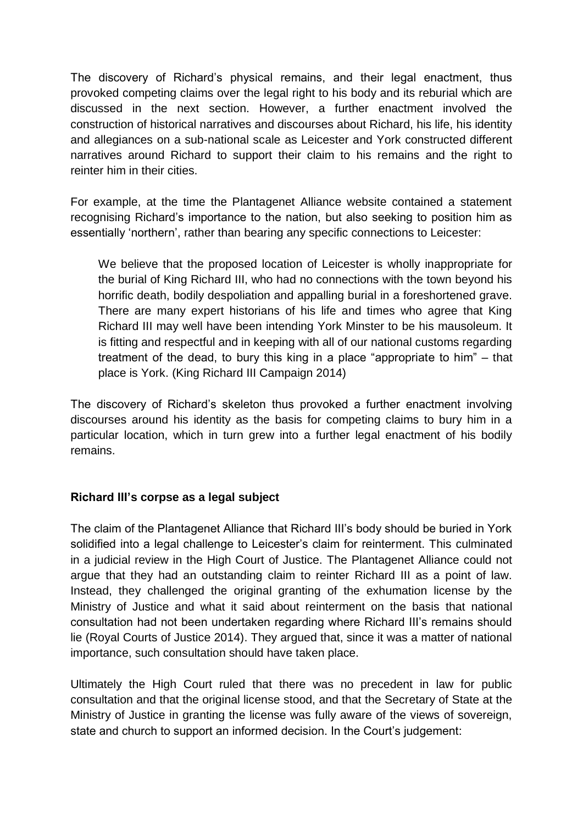The discovery of Richard's physical remains, and their legal enactment, thus provoked competing claims over the legal right to his body and its reburial which are discussed in the next section. However, a further enactment involved the construction of historical narratives and discourses about Richard, his life, his identity and allegiances on a sub-national scale as Leicester and York constructed different narratives around Richard to support their claim to his remains and the right to reinter him in their cities.

For example, at the time the Plantagenet Alliance website contained a statement recognising Richard's importance to the nation, but also seeking to position him as essentially 'northern', rather than bearing any specific connections to Leicester:

We believe that the proposed location of Leicester is wholly inappropriate for the burial of King Richard III, who had no connections with the town beyond his horrific death, bodily despoliation and appalling burial in a foreshortened grave. There are many expert historians of his life and times who agree that King Richard III may well have been intending York Minster to be his mausoleum. It is fitting and respectful and in keeping with all of our national customs regarding treatment of the dead, to bury this king in a place "appropriate to him" – that place is York. (King Richard III Campaign 2014)

The discovery of Richard's skeleton thus provoked a further enactment involving discourses around his identity as the basis for competing claims to bury him in a particular location, which in turn grew into a further legal enactment of his bodily remains.

## **Richard III's corpse as a legal subject**

The claim of the Plantagenet Alliance that Richard III's body should be buried in York solidified into a legal challenge to Leicester's claim for reinterment. This culminated in a judicial review in the High Court of Justice. The Plantagenet Alliance could not argue that they had an outstanding claim to reinter Richard III as a point of law. Instead, they challenged the original granting of the exhumation license by the Ministry of Justice and what it said about reinterment on the basis that national consultation had not been undertaken regarding where Richard III's remains should lie (Royal Courts of Justice 2014). They argued that, since it was a matter of national importance, such consultation should have taken place.

Ultimately the High Court ruled that there was no precedent in law for public consultation and that the original license stood, and that the Secretary of State at the Ministry of Justice in granting the license was fully aware of the views of sovereign, state and church to support an informed decision. In the Court's judgement: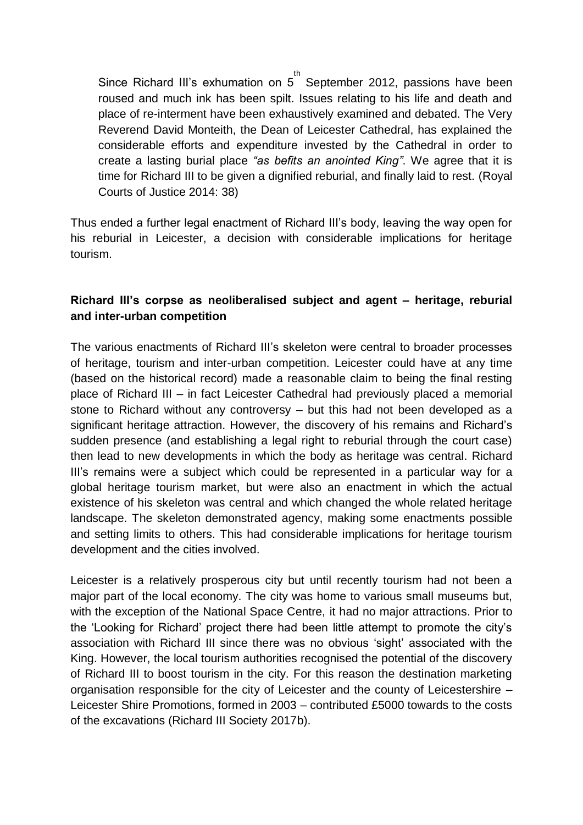Since Richard III's exhumation on 5<sup>th</sup> September 2012, passions have been roused and much ink has been spilt. Issues relating to his life and death and place of re-interment have been exhaustively examined and debated. The Very Reverend David Monteith, the Dean of Leicester Cathedral, has explained the considerable efforts and expenditure invested by the Cathedral in order to create a lasting burial place *"as befits an anointed King"*. We agree that it is time for Richard III to be given a dignified reburial, and finally laid to rest. (Royal Courts of Justice 2014: 38)

Thus ended a further legal enactment of Richard III's body, leaving the way open for his reburial in Leicester, a decision with considerable implications for heritage tourism.

## **Richard III's corpse as neoliberalised subject and agent – heritage, reburial and inter-urban competition**

The various enactments of Richard III's skeleton were central to broader processes of heritage, tourism and inter-urban competition. Leicester could have at any time (based on the historical record) made a reasonable claim to being the final resting place of Richard III – in fact Leicester Cathedral had previously placed a memorial stone to Richard without any controversy – but this had not been developed as a significant heritage attraction. However, the discovery of his remains and Richard's sudden presence (and establishing a legal right to reburial through the court case) then lead to new developments in which the body as heritage was central. Richard III's remains were a subject which could be represented in a particular way for a global heritage tourism market, but were also an enactment in which the actual existence of his skeleton was central and which changed the whole related heritage landscape. The skeleton demonstrated agency, making some enactments possible and setting limits to others. This had considerable implications for heritage tourism development and the cities involved.

Leicester is a relatively prosperous city but until recently tourism had not been a major part of the local economy. The city was home to various small museums but, with the exception of the National Space Centre, it had no major attractions. Prior to the 'Looking for Richard' project there had been little attempt to promote the city's association with Richard III since there was no obvious 'sight' associated with the King. However, the local tourism authorities recognised the potential of the discovery of Richard III to boost tourism in the city. For this reason the destination marketing organisation responsible for the city of Leicester and the county of Leicestershire – Leicester Shire Promotions, formed in 2003 – contributed £5000 towards to the costs of the excavations (Richard III Society 2017b).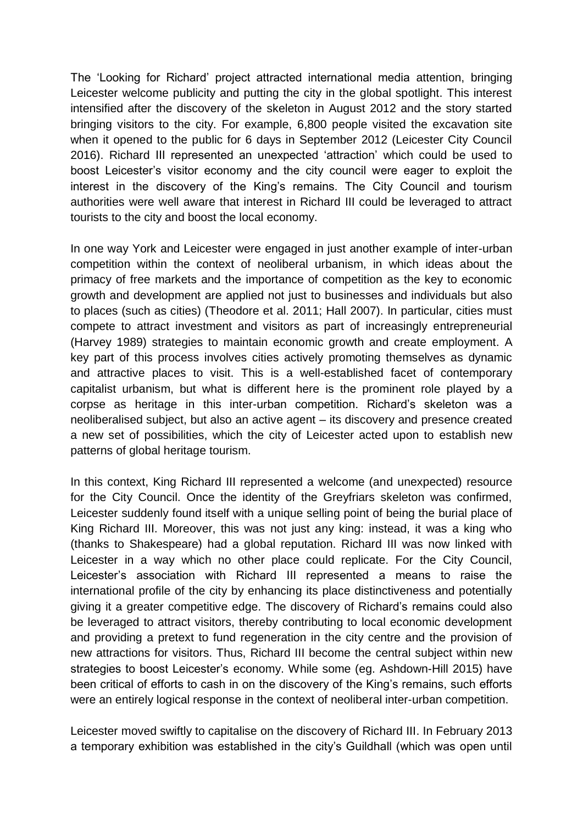The 'Looking for Richard' project attracted international media attention, bringing Leicester welcome publicity and putting the city in the global spotlight. This interest intensified after the discovery of the skeleton in August 2012 and the story started bringing visitors to the city. For example, 6,800 people visited the excavation site when it opened to the public for 6 days in September 2012 (Leicester City Council 2016). Richard III represented an unexpected 'attraction' which could be used to boost Leicester's visitor economy and the city council were eager to exploit the interest in the discovery of the King's remains. The City Council and tourism authorities were well aware that interest in Richard III could be leveraged to attract tourists to the city and boost the local economy.

In one way York and Leicester were engaged in just another example of inter-urban competition within the context of neoliberal urbanism, in which ideas about the primacy of free markets and the importance of competition as the key to economic growth and development are applied not just to businesses and individuals but also to places (such as cities) (Theodore et al. 2011; Hall 2007). In particular, cities must compete to attract investment and visitors as part of increasingly entrepreneurial (Harvey 1989) strategies to maintain economic growth and create employment. A key part of this process involves cities actively promoting themselves as dynamic and attractive places to visit. This is a well-established facet of contemporary capitalist urbanism, but what is different here is the prominent role played by a corpse as heritage in this inter-urban competition. Richard's skeleton was a neoliberalised subject, but also an active agent – its discovery and presence created a new set of possibilities, which the city of Leicester acted upon to establish new patterns of global heritage tourism.

In this context, King Richard III represented a welcome (and unexpected) resource for the City Council. Once the identity of the Greyfriars skeleton was confirmed, Leicester suddenly found itself with a unique selling point of being the burial place of King Richard III. Moreover, this was not just any king: instead, it was a king who (thanks to Shakespeare) had a global reputation. Richard III was now linked with Leicester in a way which no other place could replicate. For the City Council, Leicester's association with Richard III represented a means to raise the international profile of the city by enhancing its place distinctiveness and potentially giving it a greater competitive edge. The discovery of Richard's remains could also be leveraged to attract visitors, thereby contributing to local economic development and providing a pretext to fund regeneration in the city centre and the provision of new attractions for visitors. Thus, Richard III become the central subject within new strategies to boost Leicester's economy. While some (eg. Ashdown-Hill 2015) have been critical of efforts to cash in on the discovery of the King's remains, such efforts were an entirely logical response in the context of neoliberal inter-urban competition.

Leicester moved swiftly to capitalise on the discovery of Richard III. In February 2013 a temporary exhibition was established in the city's Guildhall (which was open until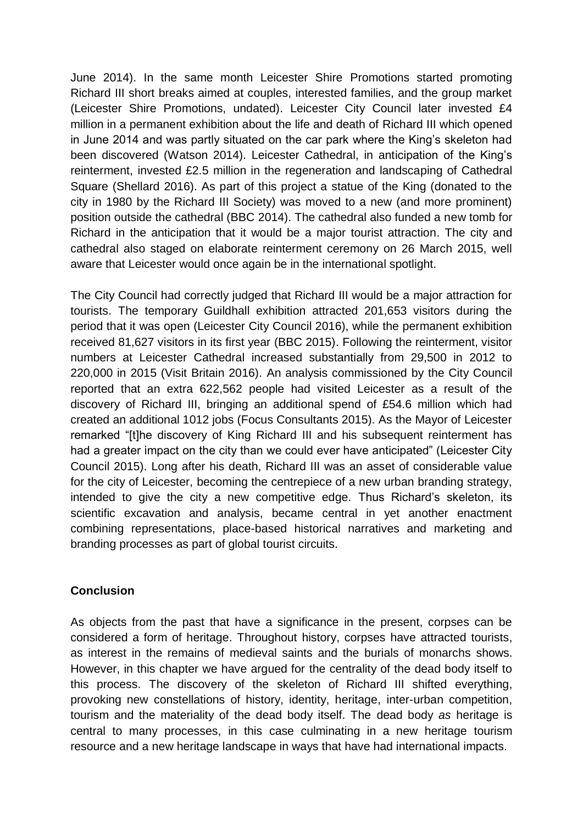June 2014). In the same month Leicester Shire Promotions started promoting Richard III short breaks aimed at couples, interested families, and the group market (Leicester Shire Promotions, undated). Leicester City Council later invested £4 million in a permanent exhibition about the life and death of Richard III which opened in June 2014 and was partly situated on the car park where the King's skeleton had been discovered (Watson 2014). Leicester Cathedral, in anticipation of the King's reinterment, invested £2.5 million in the regeneration and landscaping of Cathedral Square (Shellard 2016). As part of this project a statue of the King (donated to the city in 1980 by the Richard III Society) was moved to a new (and more prominent) position outside the cathedral (BBC 2014). The cathedral also funded a new tomb for Richard in the anticipation that it would be a major tourist attraction. The city and cathedral also staged on elaborate reinterment ceremony on 26 March 2015, well aware that Leicester would once again be in the international spotlight.

The City Council had correctly judged that Richard III would be a major attraction for tourists. The temporary Guildhall exhibition attracted 201,653 visitors during the period that it was open (Leicester City Council 2016), while the permanent exhibition received 81,627 visitors in its first year (BBC 2015). Following the reinterment, visitor numbers at Leicester Cathedral increased substantially from 29,500 in 2012 to 220,000 in 2015 (Visit Britain 2016). An analysis commissioned by the City Council reported that an extra 622,562 people had visited Leicester as a result of the discovery of Richard III, bringing an additional spend of £54.6 million which had created an additional 1012 jobs (Focus Consultants 2015). As the Mayor of Leicester remarked "[t]he discovery of King Richard III and his subsequent reinterment has had a greater impact on the city than we could ever have anticipated" (Leicester City Council 2015). Long after his death, Richard III was an asset of considerable value for the city of Leicester, becoming the centrepiece of a new urban branding strategy, intended to give the city a new competitive edge. Thus Richard's skeleton, its scientific excavation and analysis, became central in yet another enactment combining representations, place-based historical narratives and marketing and branding processes as part of global tourist circuits.

## **Conclusion**

As objects from the past that have a significance in the present, corpses can be considered a form of heritage. Throughout history, corpses have attracted tourists, as interest in the remains of medieval saints and the burials of monarchs shows. However, in this chapter we have argued for the centrality of the dead body itself to this process. The discovery of the skeleton of Richard III shifted everything, provoking new constellations of history, identity, heritage, inter-urban competition, tourism and the materiality of the dead body itself. The dead body *as* heritage is central to many processes, in this case culminating in a new heritage tourism resource and a new heritage landscape in ways that have had international impacts.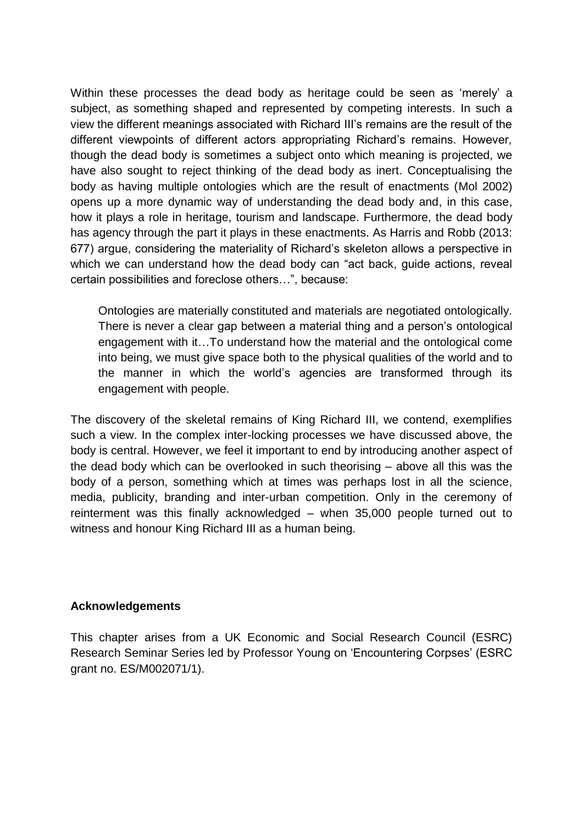Within these processes the dead body as heritage could be seen as 'merely' a subject, as something shaped and represented by competing interests. In such a view the different meanings associated with Richard III's remains are the result of the different viewpoints of different actors appropriating Richard's remains. However, though the dead body is sometimes a subject onto which meaning is projected, we have also sought to reject thinking of the dead body as inert. Conceptualising the body as having multiple ontologies which are the result of enactments (Mol 2002) opens up a more dynamic way of understanding the dead body and, in this case, how it plays a role in heritage, tourism and landscape. Furthermore, the dead body has agency through the part it plays in these enactments. As Harris and Robb (2013: 677) argue, considering the materiality of Richard's skeleton allows a perspective in which we can understand how the dead body can "act back, guide actions, reveal certain possibilities and foreclose others…", because:

Ontologies are materially constituted and materials are negotiated ontologically. There is never a clear gap between a material thing and a person's ontological engagement with it…To understand how the material and the ontological come into being, we must give space both to the physical qualities of the world and to the manner in which the world's agencies are transformed through its engagement with people.

The discovery of the skeletal remains of King Richard III, we contend, exemplifies such a view. In the complex inter-locking processes we have discussed above, the body is central. However, we feel it important to end by introducing another aspect of the dead body which can be overlooked in such theorising – above all this was the body of a person, something which at times was perhaps lost in all the science, media, publicity, branding and inter-urban competition. Only in the ceremony of reinterment was this finally acknowledged – when 35,000 people turned out to witness and honour King Richard III as a human being.

#### **Acknowledgements**

This chapter arises from a UK Economic and Social Research Council (ESRC) Research Seminar Series led by Professor Young on 'Encountering Corpses' (ESRC grant no. ES/M002071/1).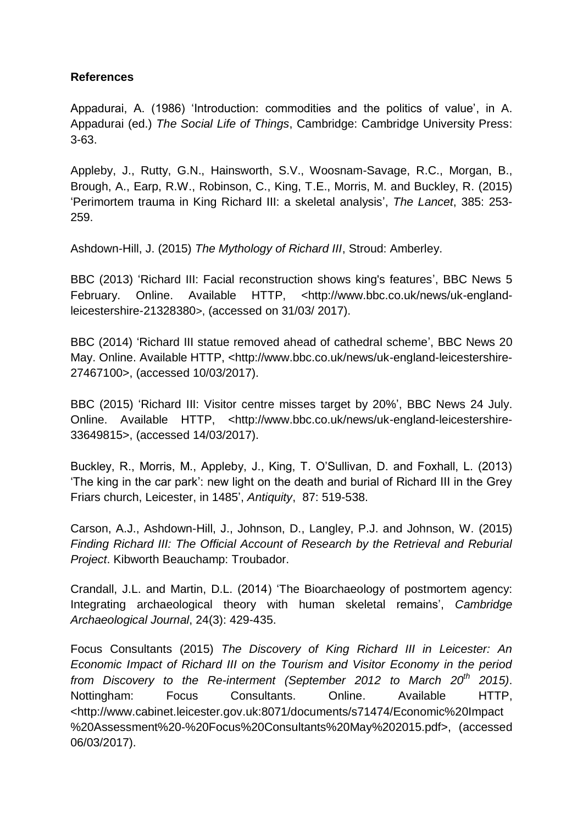#### **References**

Appadurai, A. (1986) 'Introduction: commodities and the politics of value', in A. Appadurai (ed.) *The Social Life of Things*, Cambridge: Cambridge University Press: 3-63.

Appleby, J., Rutty, G.N., Hainsworth, S.V., Woosnam-Savage, R.C., Morgan, B., Brough, A., Earp, R.W., Robinson, C., King, T.E., Morris, M. and Buckley, R. (2015) 'Perimortem trauma in King Richard III: a skeletal analysis', *The Lancet*, 385: 253- 259.

Ashdown-Hill, J. (2015) *The Mythology of Richard III*, Stroud: Amberley.

BBC (2013) 'Richard III: Facial reconstruction shows king's features', BBC News 5 February. Online. Available HTTP, <http://www.bbc.co.uk/news/uk-englandleicestershire-21328380>, (accessed on 31/03/ 2017).

BBC (2014) 'Richard III statue removed ahead of cathedral scheme', BBC News 20 May. Online. Available HTTP, <http://www.bbc.co.uk/news/uk-england-leicestershire-27467100>, (accessed 10/03/2017).

BBC (2015) 'Richard III: Visitor centre misses target by 20%', BBC News 24 July. Online. Available HTTP, <http://www.bbc.co.uk/news/uk-england-leicestershire-33649815>, (accessed 14/03/2017).

Buckley, R., Morris, M., Appleby, J., King, T. O'Sullivan, D. and Foxhall, L. (2013) 'The king in the car park': new light on the death and burial of Richard III in the Grey Friars church, Leicester, in 1485', *Antiquity*, 87: 519-538.

Carson, A.J., Ashdown-Hill, J., Johnson, D., Langley, P.J. and Johnson, W. (2015) *Finding Richard III: The Official Account of Research by the Retrieval and Reburial Project*. Kibworth Beauchamp: Troubador.

Crandall, J.L. and Martin, D.L. (2014) 'The Bioarchaeology of postmortem agency: Integrating archaeological theory with human skeletal remains', *Cambridge Archaeological Journal*, 24(3): 429-435.

Focus Consultants (2015) *The Discovery of King Richard III in Leicester: An Economic Impact of Richard III on the Tourism and Visitor Economy in the period from Discovery to the Re-interment (September 2012 to March 20th 2015)*. Nottingham: Focus Consultants. Online. Available HTTP, <http://www.cabinet.leicester.gov.uk:8071/documents/s71474/Economic%20Impact %20Assessment%20-%20Focus%20Consultants%20May%202015.pdf>, (accessed 06/03/2017).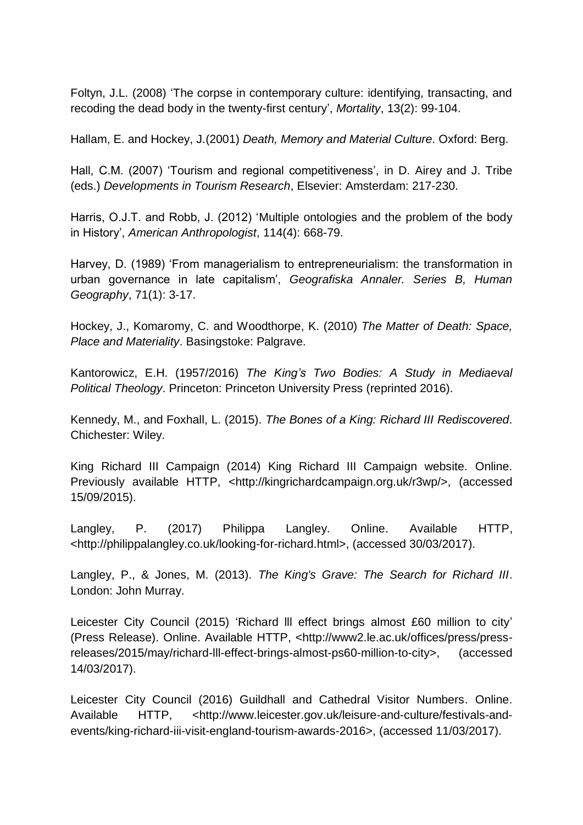Foltyn, J.L. (2008) 'The corpse in contemporary culture: identifying, transacting, and recoding the dead body in the twenty-first century', *Mortality*, 13(2): 99-104.

Hallam, E. and Hockey, J.(2001) *Death, Memory and Material Culture*. Oxford: Berg.

Hall, C.M. (2007) 'Tourism and regional competitiveness', in D. Airey and J. Tribe (eds.) *Developments in Tourism Research*, Elsevier: Amsterdam: 217-230.

Harris, O.J.T. and Robb, J. (2012) 'Multiple ontologies and the problem of the body in History', *American Anthropologist*, 114(4): 668-79.

Harvey, D. (1989) 'From managerialism to entrepreneurialism: the transformation in urban governance in late capitalism', *Geografiska Annaler. Series B, Human Geography*, 71(1): 3-17.

Hockey, J., Komaromy, C. and Woodthorpe, K. (2010) *The Matter of Death: Space, Place and Materiality*. Basingstoke: Palgrave.

Kantorowicz, E.H. (1957/2016) *The King's Two Bodies: A Study in Mediaeval Political Theology*. Princeton: Princeton University Press (reprinted 2016).

Kennedy, M., and Foxhall, L. (2015). *The Bones of a King: Richard III Rediscovered*. Chichester: Wiley.

King Richard III Campaign (2014) King Richard III Campaign website. Online. Previously available HTTP, <http://kingrichardcampaign.org.uk/r3wp/>, (accessed 15/09/2015).

Langley, P. (2017) Philippa Langley. Online. Available HTTP, <http://philippalangley.co.uk/looking-for-richard.html>, (accessed 30/03/2017).

Langley, P., & Jones, M. (2013). *The King's Grave: The Search for Richard III*. London: John Murray.

Leicester City Council (2015) 'Richard lll effect brings almost £60 million to city' (Press Release). Online. Available HTTP, [<http://www2.le.ac.uk/offices/press/press](http://www2.le.ac.uk/offices/press/press-releases/2015/may/richard-lll-effect-brings-almost-ps60-million-to-city)[releases/2015/may/richard-lll-effect-brings-almost-ps60-million-to-city>](http://www2.le.ac.uk/offices/press/press-releases/2015/may/richard-lll-effect-brings-almost-ps60-million-to-city), (accessed 14/03/2017).

Leicester City Council (2016) Guildhall and Cathedral Visitor Numbers. Online. Available HTTP, <http://www.leicester.gov.uk/leisure-and-culture/festivals-andevents/king-richard-iii-visit-england-tourism-awards-2016>, (accessed 11/03/2017).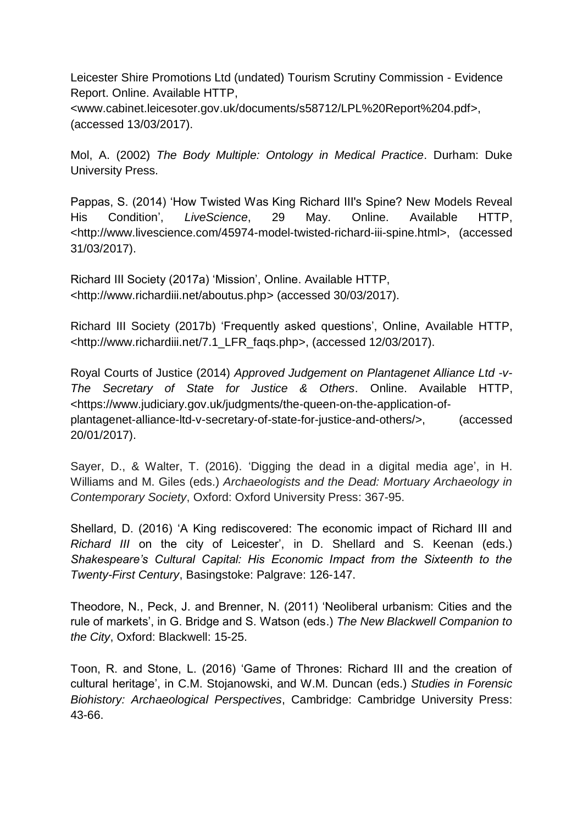Leicester Shire Promotions Ltd (undated) Tourism Scrutiny Commission - Evidence Report. Online. Available HTTP,

<www.cabinet.leicesoter.gov.uk/documents/s58712/LPL%20Report%204.pdf>, (accessed 13/03/2017).

Mol, A. (2002) *The Body Multiple: Ontology in Medical Practice*. Durham: Duke University Press.

Pappas, S. (2014) 'How Twisted Was King Richard III's Spine? New Models Reveal His Condition', *LiveScience*, 29 May. Online. Available HTTP, <http://www.livescience.com/45974-model-twisted-richard-iii-spine.html>, (accessed 31/03/2017).

Richard III Society (2017a) 'Mission', Online. Available HTTP, <http://www.richardiii.net/aboutus.php> (accessed 30/03/2017).

Richard III Society (2017b) 'Frequently asked questions', Online, Available HTTP, <http://www.richardiii.net/7.1\_LFR\_faqs.php>, (accessed 12/03/2017).

Royal Courts of Justice (2014) *Approved Judgement on Plantagenet Alliance Ltd -v-The Secretary of State for Justice & Others*. Online. Available HTTP, <https://www.judiciary.gov.uk/judgments/the-queen-on-the-application-ofplantagenet-alliance-ltd-v-secretary-of-state-for-justice-and-others/>, (accessed 20/01/2017).

Sayer, D., & Walter, T. (2016). 'Digging the dead in a digital media age', in H. Williams and M. Giles (eds.) *Archaeologists and the Dead: Mortuary Archaeology in Contemporary Society*, Oxford: Oxford University Press: 367-95.

Shellard, D. (2016) 'A King rediscovered: The economic impact of Richard III and *Richard III* on the city of Leicester', in D. Shellard and S. Keenan (eds.) *Shakespeare's Cultural Capital: His Economic Impact from the Sixteenth to the Twenty-First Century*, Basingstoke: Palgrave: 126-147.

Theodore, N., Peck, J. and Brenner, N. (2011) 'Neoliberal urbanism: Cities and the rule of markets', in G. Bridge and S. Watson (eds.) *The New Blackwell Companion to the City*, Oxford: Blackwell: 15-25.

Toon, R. and Stone, L. (2016) 'Game of Thrones: Richard III and the creation of cultural heritage', in C.M. Stojanowski, and W.M. Duncan (eds.) *Studies in Forensic Biohistory: Archaeological Perspectives*, Cambridge: Cambridge University Press: 43-66.